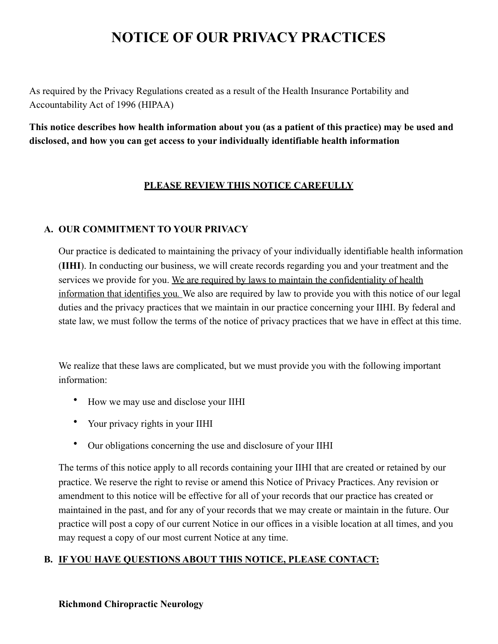# **NOTICE OF OUR PRIVACY PRACTICES**

As required by the Privacy Regulations created as a result of the Health Insurance Portability and Accountability Act of 1996 (HIPAA)

**This notice describes how health information about you (as a patient of this practice) may be used and disclosed, and how you can get access to your individually identifiable health information** 

#### **PLEASE REVIEW THIS NOTICE CAREFULLY**

#### **A. OUR COMMITMENT TO YOUR PRIVACY**

Our practice is dedicated to maintaining the privacy of your individually identifiable health information (**IIHI**). In conducting our business, we will create records regarding you and your treatment and the services we provide for you. We are required by laws to maintain the confidentiality of health information that identifies you*.* We also are required by law to provide you with this notice of our legal duties and the privacy practices that we maintain in our practice concerning your IIHI. By federal and state law, we must follow the terms of the notice of privacy practices that we have in effect at this time.

We realize that these laws are complicated, but we must provide you with the following important information:

- How we may use and disclose your IIHI
- Your privacy rights in your IIHI
- Our obligations concerning the use and disclosure of your IIHI

The terms of this notice apply to all records containing your IIHI that are created or retained by our practice. We reserve the right to revise or amend this Notice of Privacy Practices. Any revision or amendment to this notice will be effective for all of your records that our practice has created or maintained in the past, and for any of your records that we may create or maintain in the future. Our practice will post a copy of our current Notice in our offices in a visible location at all times, and you may request a copy of our most current Notice at any time.

### **B. IF YOU HAVE QUESTIONS ABOUT THIS NOTICE, PLEASE CONTACT:**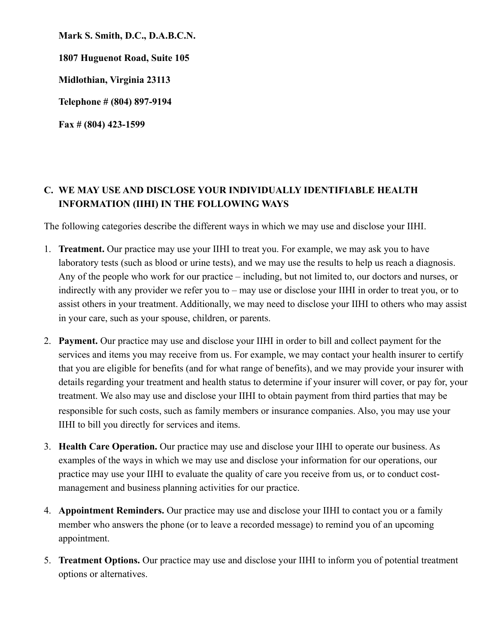**Mark S. Smith, D.C., D.A.B.C.N. 1807 Huguenot Road, Suite 105 Midlothian, Virginia 23113 Telephone # (804) 897-9194** 

**Fax # (804) 423-1599** 

## **C. WE MAY USE AND DISCLOSE YOUR INDIVIDUALLY IDENTIFIABLE HEALTH INFORMATION (IIHI) IN THE FOLLOWING WAYS**

The following categories describe the different ways in which we may use and disclose your IIHI.

- 1. **Treatment.** Our practice may use your IIHI to treat you. For example, we may ask you to have laboratory tests (such as blood or urine tests), and we may use the results to help us reach a diagnosis. Any of the people who work for our practice – including, but not limited to, our doctors and nurses, or indirectly with any provider we refer you to – may use or disclose your IIHI in order to treat you, or to assist others in your treatment. Additionally, we may need to disclose your IIHI to others who may assist in your care, such as your spouse, children, or parents.
- 2. **Payment.** Our practice may use and disclose your IIHI in order to bill and collect payment for the services and items you may receive from us. For example, we may contact your health insurer to certify that you are eligible for benefits (and for what range of benefits), and we may provide your insurer with details regarding your treatment and health status to determine if your insurer will cover, or pay for, your treatment. We also may use and disclose your IIHI to obtain payment from third parties that may be responsible for such costs, such as family members or insurance companies. Also, you may use your IIHI to bill you directly for services and items.
- 3. **Health Care Operation.** Our practice may use and disclose your IIHI to operate our business. As examples of the ways in which we may use and disclose your information for our operations, our practice may use your IIHI to evaluate the quality of care you receive from us, or to conduct costmanagement and business planning activities for our practice.
- 4. **Appointment Reminders.** Our practice may use and disclose your IIHI to contact you or a family member who answers the phone (or to leave a recorded message) to remind you of an upcoming appointment.
- 5. **Treatment Options.** Our practice may use and disclose your IIHI to inform you of potential treatment options or alternatives.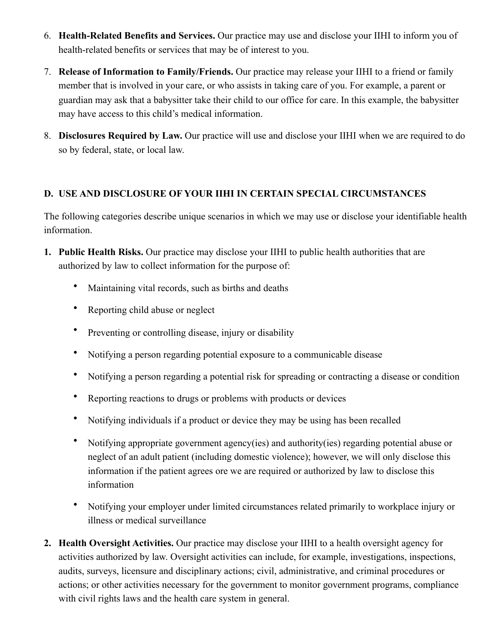- 6. **Health-Related Benefits and Services.** Our practice may use and disclose your IIHI to inform you of health-related benefits or services that may be of interest to you.
- 7. **Release of Information to Family/Friends.** Our practice may release your IIHI to a friend or family member that is involved in your care, or who assists in taking care of you. For example, a parent or guardian may ask that a babysitter take their child to our office for care. In this example, the babysitter may have access to this child's medical information.
- 8. **Disclosures Required by Law.** Our practice will use and disclose your IIHI when we are required to do so by federal, state, or local law.

### **D. USE AND DISCLOSURE OF YOUR IIHI IN CERTAIN SPECIAL CIRCUMSTANCES**

The following categories describe unique scenarios in which we may use or disclose your identifiable health information.

- **1. Public Health Risks.** Our practice may disclose your IIHI to public health authorities that are authorized by law to collect information for the purpose of:
	- Maintaining vital records, such as births and deaths
	- Reporting child abuse or neglect
	- Preventing or controlling disease, injury or disability
	- Notifying a person regarding potential exposure to a communicable disease
	- Notifying a person regarding a potential risk for spreading or contracting a disease or condition
	- Reporting reactions to drugs or problems with products or devices
	- Notifying individuals if a product or device they may be using has been recalled
	- Notifying appropriate government agency(ies) and authority(ies) regarding potential abuse or neglect of an adult patient (including domestic violence); however, we will only disclose this information if the patient agrees ore we are required or authorized by law to disclose this information
	- Notifying your employer under limited circumstances related primarily to workplace injury or illness or medical surveillance
- **2. Health Oversight Activities.** Our practice may disclose your IIHI to a health oversight agency for activities authorized by law. Oversight activities can include, for example, investigations, inspections, audits, surveys, licensure and disciplinary actions; civil, administrative, and criminal procedures or actions; or other activities necessary for the government to monitor government programs, compliance with civil rights laws and the health care system in general.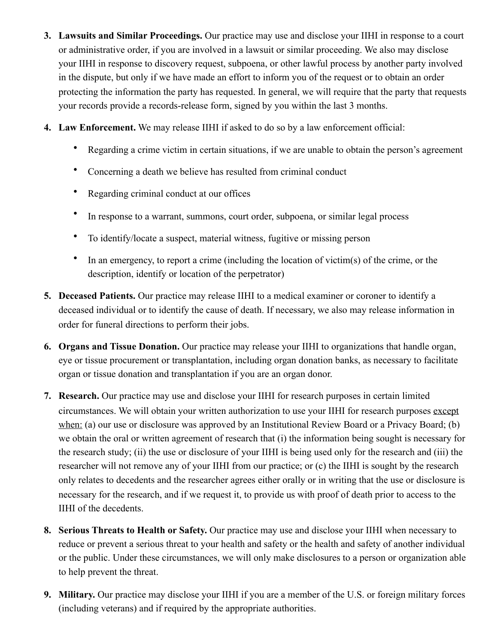- **3. Lawsuits and Similar Proceedings.** Our practice may use and disclose your IIHI in response to a court or administrative order, if you are involved in a lawsuit or similar proceeding. We also may disclose your IIHI in response to discovery request, subpoena, or other lawful process by another party involved in the dispute, but only if we have made an effort to inform you of the request or to obtain an order protecting the information the party has requested. In general, we will require that the party that requests your records provide a records-release form, signed by you within the last 3 months.
- **4. Law Enforcement.** We may release IIHI if asked to do so by a law enforcement official:
	- Regarding a crime victim in certain situations, if we are unable to obtain the person's agreement
	- Concerning a death we believe has resulted from criminal conduct
	- Regarding criminal conduct at our offices
	- In response to a warrant, summons, court order, subpoena, or similar legal process
	- To identify/locate a suspect, material witness, fugitive or missing person
	- In an emergency, to report a crime (including the location of victim(s) of the crime, or the description, identify or location of the perpetrator)
- **5. Deceased Patients.** Our practice may release IIHI to a medical examiner or coroner to identify a deceased individual or to identify the cause of death. If necessary, we also may release information in order for funeral directions to perform their jobs.
- **6. Organs and Tissue Donation.** Our practice may release your IIHI to organizations that handle organ, eye or tissue procurement or transplantation, including organ donation banks, as necessary to facilitate organ or tissue donation and transplantation if you are an organ donor.
- **7. Research.** Our practice may use and disclose your IIHI for research purposes in certain limited circumstances. We will obtain your written authorization to use your IIHI for research purposes except when: (a) our use or disclosure was approved by an Institutional Review Board or a Privacy Board; (b) we obtain the oral or written agreement of research that (i) the information being sought is necessary for the research study; (ii) the use or disclosure of your IIHI is being used only for the research and (iii) the researcher will not remove any of your IIHI from our practice; or (c) the IIHI is sought by the research only relates to decedents and the researcher agrees either orally or in writing that the use or disclosure is necessary for the research, and if we request it, to provide us with proof of death prior to access to the IIHI of the decedents.
- **8. Serious Threats to Health or Safety.** Our practice may use and disclose your IIHI when necessary to reduce or prevent a serious threat to your health and safety or the health and safety of another individual or the public. Under these circumstances, we will only make disclosures to a person or organization able to help prevent the threat.
- **9. Military.** Our practice may disclose your IIHI if you are a member of the U.S. or foreign military forces (including veterans) and if required by the appropriate authorities.